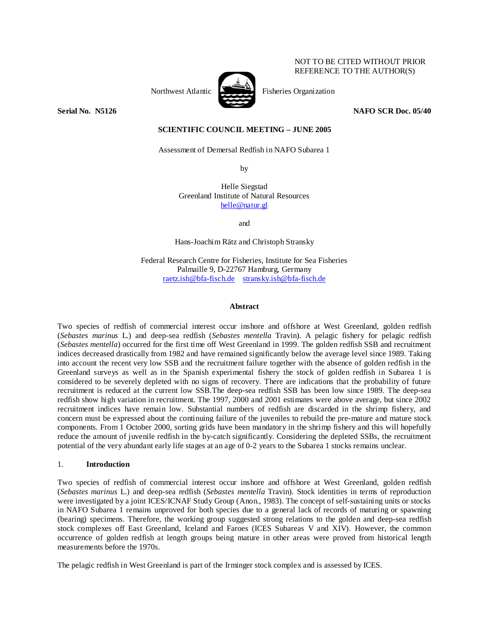## NOT TO BE CITED WITHOUT PRIOR REFERENCE TO THE AUTHOR(S)

Northwest Atlantic **No. 1989** Fisheries Organization



**Serial No. 38126** NAFO SCR Doc. 05/40 **NAFO SCR Doc.** 05/40

# **SCIENTIFIC COUNCIL MEETING – JUNE 2005**

Assessment of Demersal Redfish in NAFO Subarea 1

by

Helle Siegstad Greenland Institute of Natural Resources helle@natur.gl

and

Hans-Joachim Rätz and Christoph Stransky

Federal Research Centre for Fisheries, Institute for Sea Fisheries Palmaille 9, D-22767 Hamburg, Germany raetz.ish@bfa-fisch.de stransky.ish@bfa-fisch.de

### **Abstract**

Two species of redfish of commercial interest occur inshore and offshore at West Greenland, golden redfish (*Sebastes marinus* L.) and deep-sea redfish (*Sebastes mentella* Travin). A pelagic fishery for pelagic redfish (*Sebastes mentella*) occurred for the first time off West Greenland in 1999. The golden redfish SSB and recruitment indices decreased drastically from 1982 and have remained significantly below the average level since 1989. Taking into account the recent very low SSB and the recruitment failure together with the absence of golden redfish in the Greenland surveys as well as in the Spanish experimental fishery the stock of golden redfish in Subarea 1 is considered to be severely depleted with no signs of recovery. There are indications that the probability of future recruitment is reduced at the current low SSB.The deep-sea redfish SSB has been low since 1989. The deep-sea redfish show high variation in recruitment. The 1997, 2000 and 2001 estimates were above average, but since 2002 recruitment indices have remain low. Substantial numbers of redfish are discarded in the shrimp fishery, and concern must be expressed about the continuing failure of the juveniles to rebuild the pre-mature and mature stock components. From 1 October 2000, sorting grids have been mandatory in the shrimp fishery and this will hopefully reduce the amount of juvenile redfish in the by-catch significantly. Considering the depleted SSBs, the recruitment potential of the very abundant early life stages at an age of 0-2 years to the Subarea 1 stocks remains unclear.

## 1. **Introduction**

Two species of redfish of commercial interest occur inshore and offshore at West Greenland, golden redfish (*Sebastes marinus* L.) and deep-sea redfish (*Sebastes mentella* Travin). Stock identities in terms of reproduction were investigated by a joint ICES/ICNAF Study Group (Anon., 1983). The concept of self-sustaining units or stocks in NAFO Subarea 1 remains unproved for both species due to a general lack of records of maturing or spawning (bearing) specimens. Therefore, the working group suggested strong relations to the golden and deep-sea redfish stock complexes off East Greenland, Iceland and Faroes (ICES Subareas V and XIV). However, the common occurrence of golden redfish at length groups being mature in other areas were proved from historical length measurements before the 1970s.

The pelagic redfish in West Greenland is part of the Irminger stock complex and is assessed by ICES.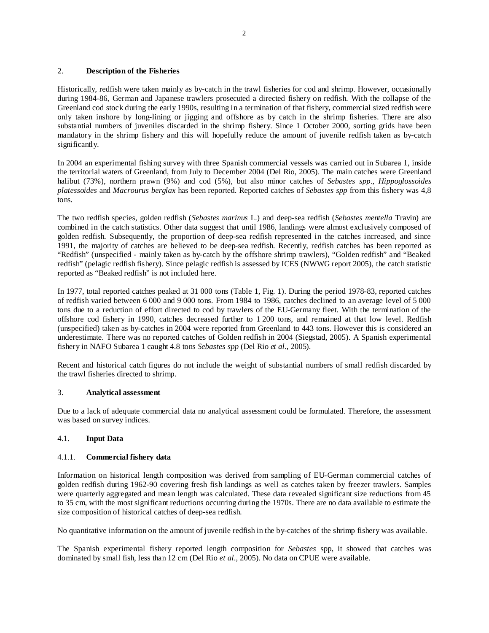# 2. **Description of the Fisheries**

Historically, redfish were taken mainly as by-catch in the trawl fisheries for cod and shrimp. However, occasionally during 1984-86, German and Japanese trawlers prosecuted a directed fishery on redfish. With the collapse of the Greenland cod stock during the early 1990s, resulting in a termination of that fishery, commercial sized redfish were only taken inshore by long-lining or jigging and offshore as by catch in the shrimp fisheries. There are also substantial numbers of juveniles discarded in the shrimp fishery. Since 1 October 2000, sorting grids have been mandatory in the shrimp fishery and this will hopefully reduce the amount of juvenile redfish taken as by-catch significantly.

In 2004 an experimental fishing survey with three Spanish commercial vessels was carried out in Subarea 1, inside the territorial waters of Greenland, from July to December 2004 (Del Rio, 2005). The main catches were Greenland halibut (73%), northern prawn (9%) and cod (5%), but also minor catches of *Sebastes spp*., *Hippoglossoides platessoides* and *Macrourus berglax* has been reported. Reported catches of *Sebastes spp* from this fishery was 4,8 tons.

The two redfish species, golden redfish (*Sebastes marinus* L.) and deep-sea redfish (*Sebastes mentella* Travin) are combined in the catch statistics. Other data suggest that until 1986, landings were almost exclusively composed of golden redfish. Subsequently, the proportion of deep-sea redfish represented in the catches increased, and since 1991, the majority of catches are believed to be deep-sea redfish. Recently, redfish catches has been reported as "Redfish" (unspecified - mainly taken as by-catch by the offshore shrimp trawlers), "Golden redfish" and "Beaked redfish" (pelagic redfish fishery). Since pelagic redfish is assessed by ICES (NWWG report 2005), the catch statistic reported as "Beaked redfish" is not included here.

In 1977, total reported catches peaked at 31 000 tons (Table 1, Fig. 1). During the period 1978-83, reported catches of redfish varied between 6 000 and 9 000 tons. From 1984 to 1986, catches declined to an average level of 5 000 tons due to a reduction of effort directed to cod by trawlers of the EU-Germany fleet. With the termination of the offshore cod fishery in 1990, catches decreased further to 1 200 tons, and remained at that low level. Redfish (unspecified) taken as by-catches in 2004 were reported from Greenland to 443 tons. However this is considered an underestimate. There was no reported catches of Golden redfish in 2004 (Siegstad, 2005). A Spanish experimental fishery in NAFO Subarea 1 caught 4.8 tons *Sebastes spp* (Del Rio *et al*., 2005).

Recent and historical catch figures do not include the weight of substantial numbers of small redfish discarded by the trawl fisheries directed to shrimp.

## 3. **Analytical assessment**

Due to a lack of adequate commercial data no analytical assessment could be formulated. Therefore, the assessment was based on survey indices.

## 4.1. **Input Data**

# 4.1.1. **Commercial fishery data**

Information on historical length composition was derived from sampling of EU-German commercial catches of golden redfish during 1962-90 covering fresh fish landings as well as catches taken by freezer trawlers. Samples were quarterly aggregated and mean length was calculated. These data revealed significant size reductions from 45 to 35 cm, with the most significant reductions occurring during the 1970s. There are no data available to estimate the size composition of historical catches of deep-sea redfish.

No quantitative information on the amount of juvenile redfish in the by-catches of the shrimp fishery was available.

The Spanish experimental fishery reported length composition for *Sebastes* spp, it showed that catches was dominated by small fish, less than 12 cm (Del Rio *et al*., 2005). No data on CPUE were available.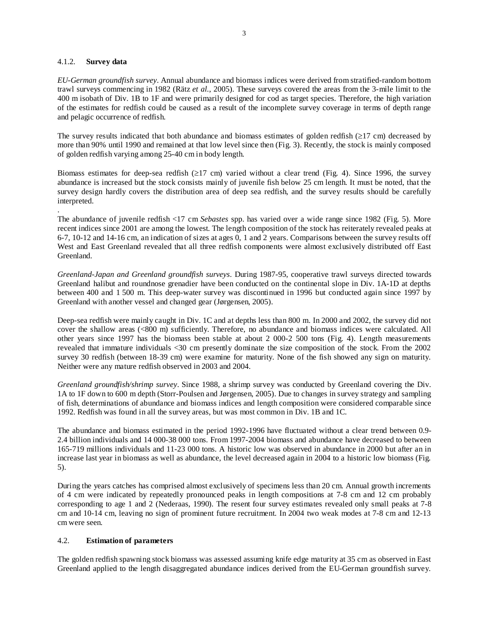## 4.1.2. **Survey data**

.

*EU-German groundfish survey*. Annual abundance and biomass indices were derived from stratified-random bottom trawl surveys commencing in 1982 (Rätz *et al.*, 2005). These surveys covered the areas from the 3-mile limit to the 400 m isobath of Div. 1B to 1F and were primarily designed for cod as target species. Therefore, the high variation of the estimates for redfish could be caused as a result of the incomplete survey coverage in terms of depth range and pelagic occurrence of redfish.

The survey results indicated that both abundance and biomass estimates of golden redfish (≥17 cm) decreased by more than 90% until 1990 and remained at that low level since then (Fig. 3). Recently, the stock is mainly composed of golden redfish varying among 25-40 cm in body length.

Biomass estimates for deep-sea redfish ( $\geq$ 17 cm) varied without a clear trend (Fig. 4). Since 1996, the survey abundance is increased but the stock consists mainly of juvenile fish below 25 cm length. It must be noted, that the survey design hardly covers the distribution area of deep sea redfish, and the survey results should be carefully interpreted.

The abundance of juvenile redfish <17 cm *Sebastes* spp. has varied over a wide range since 1982 (Fig. 5). More recent indices since 2001 are among the lowest. The length composition of the stock has reiterately revealed peaks at 6-7, 10-12 and 14-16 cm, an indication of sizes at ages 0, 1 and 2 years. Comparisons between the survey results off West and East Greenland revealed that all three redfish components were almost exclusively distributed off East Greenland.

*Greenland-Japan and Greenland groundfish surveys*. During 1987-95, cooperative trawl surveys directed towards Greenland halibut and roundnose grenadier have been conducted on the continental slope in Div. 1A-1D at depths between 400 and 1 500 m. This deep-water survey was discontinued in 1996 but conducted again since 1997 by Greenland with another vessel and changed gear (Jørgensen, 2005).

Deep-sea redfish were mainly caught in Div. 1C and at depths less than 800 m. In 2000 and 2002, the survey did not cover the shallow areas (<800 m) sufficiently. Therefore, no abundance and biomass indices were calculated. All other years since 1997 has the biomass been stable at about 2 000-2 500 tons (Fig. 4). Length measurements revealed that immature individuals <30 cm presently dominate the size composition of the stock. From the 2002 survey 30 redfish (between 18-39 cm) were examine for maturity. None of the fish showed any sign on maturity. Neither were any mature redfish observed in 2003 and 2004.

*Greenland groundfish/shrimp survey*. Since 1988, a shrimp survey was conducted by Greenland covering the Div. 1A to 1F down to 600 m depth (Storr-Poulsen and Jørgensen, 2005). Due to changes in survey strategy and sampling of fish, determinations of abundance and biomass indices and length composition were considered comparable since 1992. Redfish was found in all the survey areas, but was most common in Div. 1B and 1C.

The abundance and biomass estimated in the period 1992-1996 have fluctuated without a clear trend between 0.9- 2.4 billion individuals and 14 000-38 000 tons. From 1997-2004 biomass and abundance have decreased to between 165-719 millions individuals and 11-23 000 tons. A historic low was observed in abundance in 2000 but after an in increase last year in biomass as well as abundance, the level decreased again in 2004 to a historic low biomass (Fig. 5).

During the years catches has comprised almost exclusively of specimens less than 20 cm. Annual growth increments of 4 cm were indicated by repeatedly pronounced peaks in length compositions at 7-8 cm and 12 cm probably corresponding to age 1 and 2 (Nederaas, 1990). The resent four survey estimates revealed only small peaks at 7-8 cm and 10-14 cm, leaving no sign of prominent future recruitment. In 2004 two weak modes at 7-8 cm and 12-13 cm were seen.

# 4.2. **Estimation of parameters**

The golden redfish spawning stock biomass was assessed assuming knife edge maturity at 35 cm as observed in East Greenland applied to the length disaggregated abundance indices derived from the EU-German groundfish survey.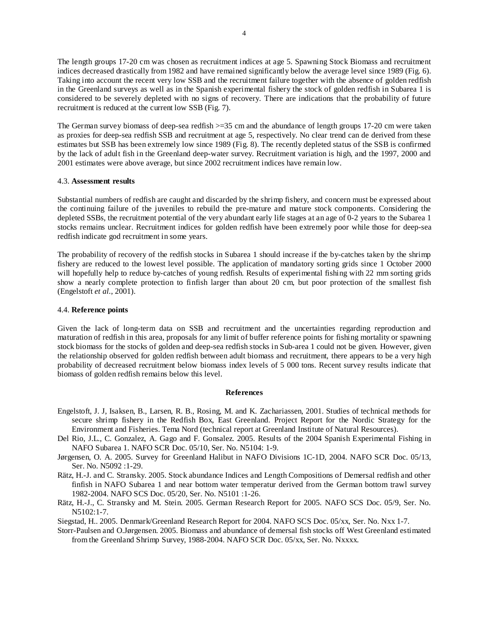The length groups 17-20 cm was chosen as recruitment indices at age 5. Spawning Stock Biomass and recruitment indices decreased drastically from 1982 and have remained significantly below the average level since 1989 (Fig. 6). Taking into account the recent very low SSB and the recruitment failure together with the absence of golden redfish in the Greenland surveys as well as in the Spanish experimental fishery the stock of golden redfish in Subarea 1 is considered to be severely depleted with no signs of recovery. There are indications that the probability of future recruitment is reduced at the current low SSB (Fig. 7).

The German survey biomass of deep-sea redfish >=35 cm and the abundance of length groups 17-20 cm were taken as proxies for deep-sea redfish SSB and recruitment at age 5, respectively. No clear trend can de derived from these estimates but SSB has been extremely low since 1989 (Fig. 8). The recently depleted status of the SSB is confirmed by the lack of adult fish in the Greenland deep-water survey. Recruitment variation is high, and the 1997, 2000 and 2001 estimates were above average, but since 2002 recruitment indices have remain low.

### 4.3. **Assessment results**

Substantial numbers of redfish are caught and discarded by the shrimp fishery, and concern must be expressed about the continuing failure of the juveniles to rebuild the pre-mature and mature stock components. Considering the depleted SSBs, the recruitment potential of the very abundant early life stages at an age of 0-2 years to the Subarea 1 stocks remains unclear. Recruitment indices for golden redfish have been extremely poor while those for deep-sea redfish indicate god recruitment in some years.

The probability of recovery of the redfish stocks in Subarea 1 should increase if the by-catches taken by the shrimp fishery are reduced to the lowest level possible. The application of mandatory sorting grids since 1 October 2000 will hopefully help to reduce by-catches of young redfish. Results of experimental fishing with 22 mm sorting grids show a nearly complete protection to finfish larger than about 20 cm, but poor protection of the smallest fish (Engelstoft *et al.*, 2001).

### 4.4. **Reference points**

Given the lack of long-term data on SSB and recruitment and the uncertainties regarding reproduction and maturation of redfish in this area, proposals for any limit of buffer reference points for fishing mortality or spawning stock biomass for the stocks of golden and deep-sea redfish stocks in Sub-area 1 could not be given. However, given the relationship observed for golden redfish between adult biomass and recruitment, there appears to be a very high probability of decreased recruitment below biomass index levels of 5 000 tons. Recent survey results indicate that biomass of golden redfish remains below this level.

#### **References**

- Engelstoft, J. J, Isaksen, B., Larsen, R. B., Rosing, M. and K. Zachariassen, 2001. Studies of technical methods for secure shrimp fishery in the Redfish Box, East Greenland. Project Report for the Nordic Strategy for the Environment and Fisheries. Tema Nord (technical report at Greenland Institute of Natural Resources).
- Del Rio, J.L., C. Gonzalez, A. Gago and F. Gonsalez. 2005. Results of the 2004 Spanish Experimental Fishing in NAFO Subarea 1. NAFO SCR Doc. 05/10, Ser. No. N5104: 1-9.
- Jørgensen, O. A. 2005. Survey for Greenland Halibut in NAFO Divisions 1C-1D, 2004. NAFO SCR Doc. 05/13, Ser. No. N5092 :1-29.
- Rätz, H.-J. and C. Stransky. 2005. Stock abundance Indices and Length Compositions of Demersal redfish and other finfish in NAFO Subarea 1 and near bottom water temperatur derived from the German bottom trawl survey 1982-2004. NAFO SCS Doc. 05/20, Ser. No. N5101 :1-26.
- Rätz, H.-J., C. Stransky and M. Stein. 2005. German Research Report for 2005. NAFO SCS Doc. 05/9, Ser. No. N5102:1-7.
- Siegstad, H.. 2005. Denmark/Greenland Research Report for 2004. NAFO SCS Doc. 05/xx, Ser. No. Nxx 1-7.
- Storr-Paulsen and O.Jørgensen. 2005. Biomass and abundance of demersal fish stocks off West Greenland estimated from the Greenland Shrimp Survey, 1988-2004. NAFO SCR Doc. 05/xx, Ser. No. Nxxxx.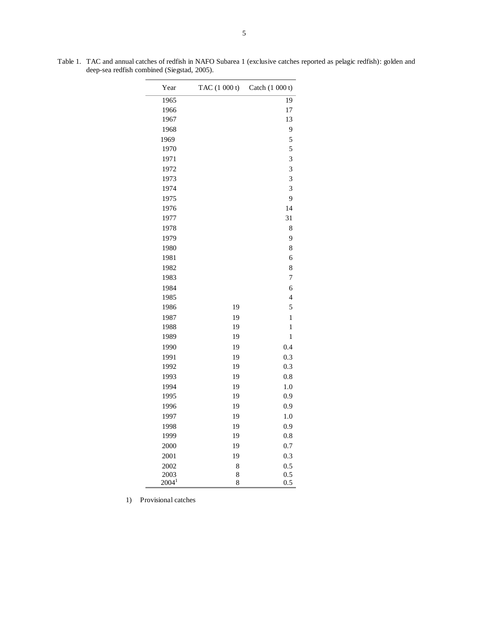Year TAC (1 000 t) Catch (1 000 t) 1965 19 1966 17 1967 13 1968 9 1969 5 1970 5 1971 3 1972 3 1973 3 1974 3 1975 9 1976 14 1977 31 1978 8 1979 9 1980 8 1981 6 1982 8 1983 7 1984 6 1985 4 1986 19 5 1987 19 19 1 1988 19 19 1 1989 19 1 1990 19 0.4 1991 19 0.3 1992 19 0.3 1993 19 0.8 1994 19 1.0 1995 19 0.9 1996 19 0.9 1997 19 1.0 1998 19 0.9 1999 19 0.8 2000 19 0.7 2001 19 0.3 2002 2003  $2004<sup>1</sup>$ 8 8 8 0.5 0.5 0.5

Table 1. TAC and annual catches of redfish in NAFO Subarea 1 (exclusive catches reported as pelagic redfish): golden and deep-sea redfish combined (Siegstad, 2005).

1) Provisional catches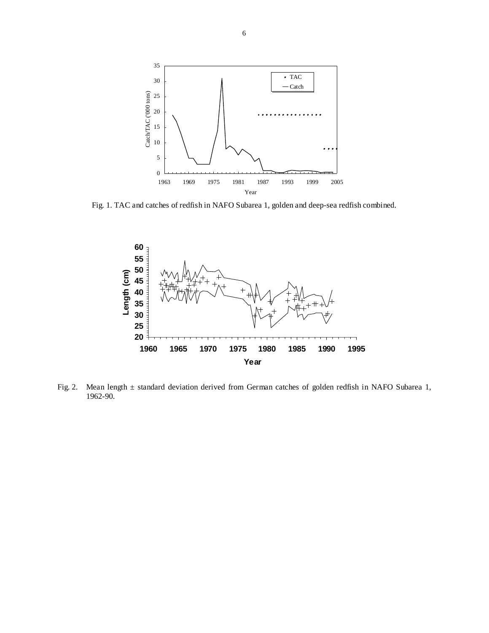

Fig. 1. TAC and catches of redfish in NAFO Subarea 1, golden and deep-sea redfish combined.



Fig. 2. Mean length ± standard deviation derived from German catches of golden redfish in NAFO Subarea 1, 1962-90.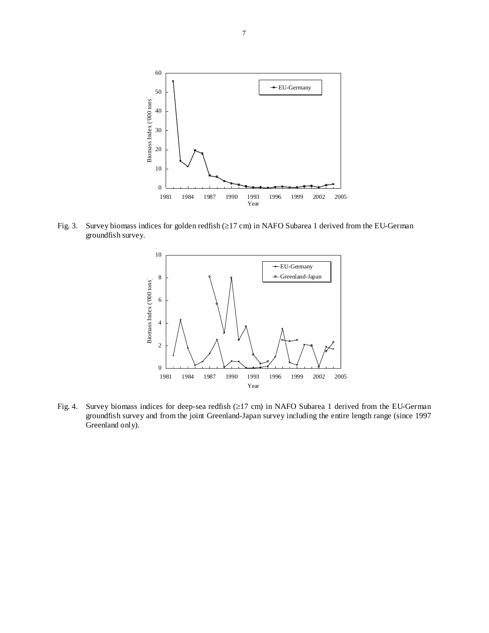

Fig. 3. Survey biomass indices for golden redfish (≥17 cm) in NAFO Subarea 1 derived from the EU-German groundfish survey.



Fig. 4. Survey biomass indices for deep-sea redfish (≥17 cm) in NAFO Subarea 1 derived from the EU-German groundfish survey and from the joint Greenland-Japan survey including the entire length range (since 1997 Greenland only).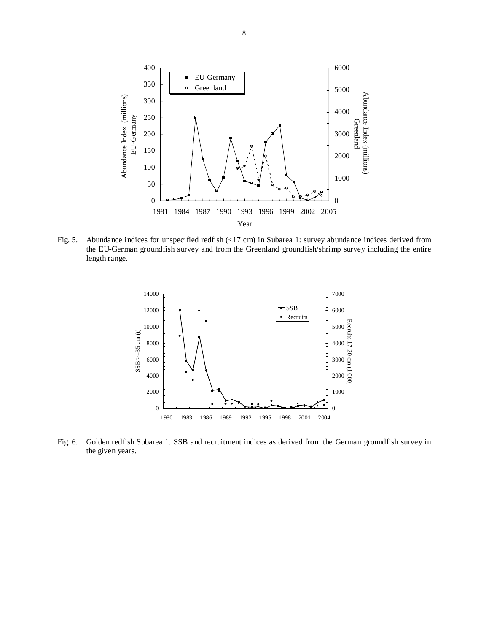

Fig. 5. Abundance indices for unspecified redfish (<17 cm) in Subarea 1: survey abundance indices derived from the EU-German groundfish survey and from the Greenland groundfish/shrimp survey including the entire length range.



Fig. 6. Golden redfish Subarea 1. SSB and recruitment indices as derived from the German groundfish survey in the given years.